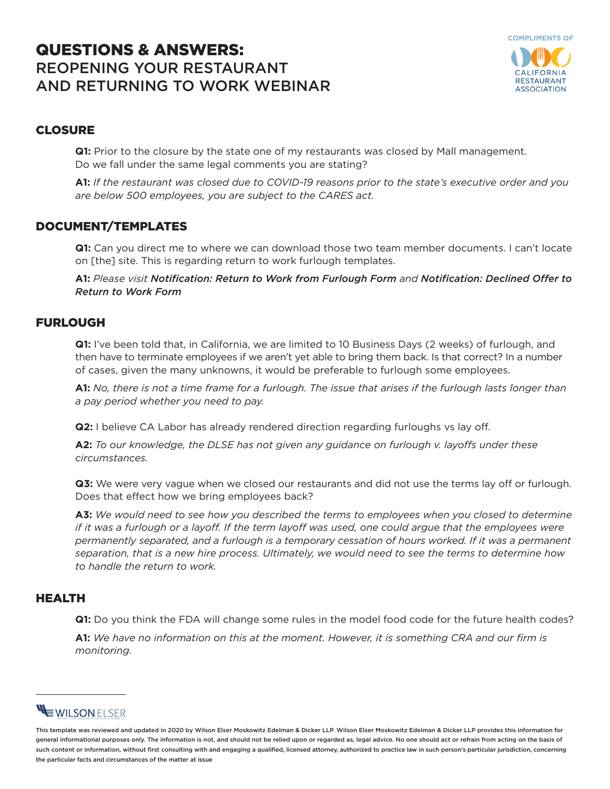# QUESTIONS & ANSWERS: REOPENING YOUR RESTAURANT AND RETURNING TO WORK WEBINAR



## CLOSURE

**Q1:** Prior to the closure by the state one of my restaurants was closed by Mall management. Do we fall under the same legal comments you are stating?

**A1:** *If the restaurant was closed due to COVID-19 reasons prior to the state's executive order and you are below 500 employees, you are subject to the CARES act.* 

#### DOCUMENT/TEMPLATES

**Q1:** Can you direct me to where we can download those two team member documents. I can't locate on [the] site. This is regarding return to work furlough templates.

**A1:** *Please visit Notification: Return to Work from Furlough Form and Notification: Declined Offer to Return to Work Form*

#### FURLOUGH

**Q1:** I've been told that, in California, we are limited to 10 Business Days (2 weeks) of furlough, and then have to terminate employees if we aren't yet able to bring them back. Is that correct? In a number of cases, given the many unknowns, it would be preferable to furlough some employees.

**A1:** *No, there is not a time frame for a furlough. The issue that arises if the furlough lasts longer than a pay period whether you need to pay.* 

**Q2:** I believe CA Labor has already rendered direction regarding furloughs vs lay off.

**A2:** *To our knowledge, the DLSE has not given any guidance on furlough v. layoffs under these circumstances.* 

**Q3:** We were very vague when we closed our restaurants and did not use the terms lay off or furlough. Does that effect how we bring employees back?

**A3:** *We would need to see how you described the terms to employees when you closed to determine if it was a furlough or a layoff. If the term layoff was used, one could argue that the employees were permanently separated, and a furlough is a temporary cessation of hours worked. If it was a permanent separation, that is a new hire process. Ultimately, we would need to see the terms to determine how to handle the return to work.* 

#### HEALTH

**Q1:** Do you think the FDA will change some rules in the model food code for the future health codes?

**A1:** *We have no information on this at the moment. However, it is something CRA and our firm is monitoring.*

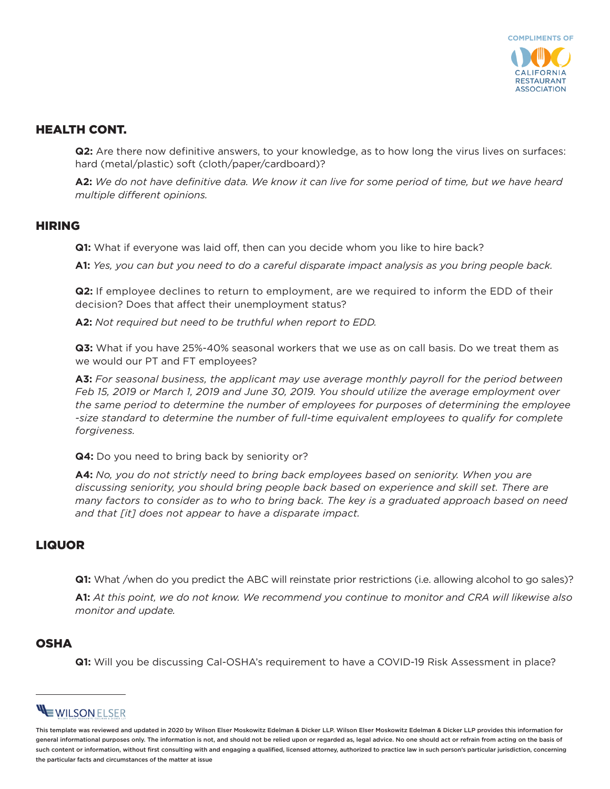

## HEALTH CONT.

**Q2:** Are there now definitive answers, to your knowledge, as to how long the virus lives on surfaces: hard (metal/plastic) soft (cloth/paper/cardboard)?

**A2:** *We do not have definitive data. We know it can live for some period of time, but we have heard multiple different opinions.*

#### HIRING

**Q1:** What if everyone was laid off, then can you decide whom you like to hire back?

**A1:** *Yes, you can but you need to do a careful disparate impact analysis as you bring people back.* 

**Q2:** If employee declines to return to employment, are we required to inform the EDD of their decision? Does that affect their unemployment status?

**A2:** *Not required but need to be truthful when report to EDD.* 

**Q3:** What if you have 25%-40% seasonal workers that we use as on call basis. Do we treat them as we would our PT and FT employees?

**A3:** *For seasonal business, the applicant may use average monthly payroll for the period between Feb 15, 2019 or March 1, 2019 and June 30, 2019. You should utilize the average employment over the same period to determine the number of employees for purposes of determining the employee -size standard to determine the number of full-time equivalent employees to qualify for complete forgiveness.* 

**Q4:** Do you need to bring back by seniority or?

**A4:** *No, you do not strictly need to bring back employees based on seniority. When you are discussing seniority, you should bring people back based on experience and skill set. There are many factors to consider as to who to bring back. The key is a graduated approach based on need and that [it] does not appear to have a disparate impact.*

## LIQUOR

**Q1:** What /when do you predict the ABC will reinstate prior restrictions (i.e. allowing alcohol to go sales)?

**A1:** *At this point, we do not know. We recommend you continue to monitor and CRA will likewise also monitor and update.* 

## **OSHA**

**Q1:** Will you be discussing Cal-OSHA's requirement to have a COVID-19 Risk Assessment in place?

# WILSON ELSER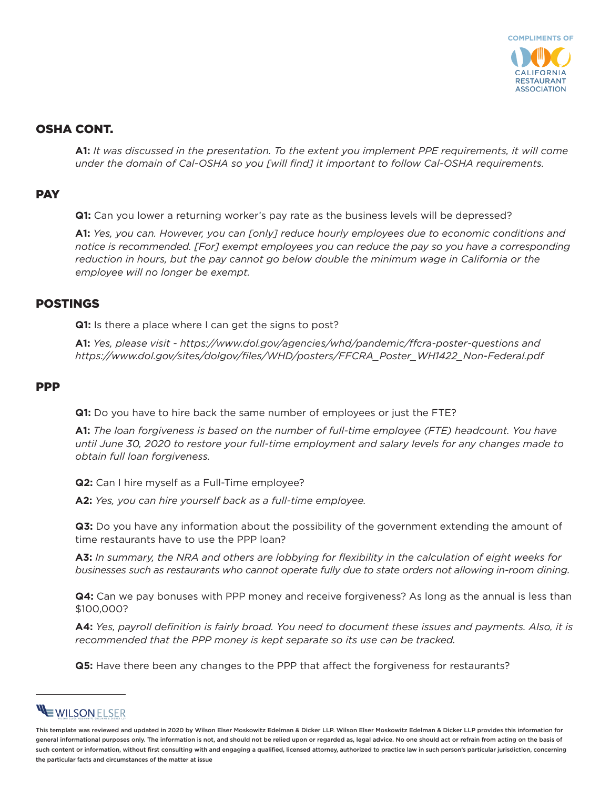

### OSHA CONT.

**A1:** *It was discussed in the presentation. To the extent you implement PPE requirements, it will come under the domain of Cal-OSHA so you [will find] it important to follow Cal-OSHA requirements.* 

#### **PAY**

**Q1:** Can you lower a returning worker's pay rate as the business levels will be depressed?

**A1:** *Yes, you can. However, you can [only] reduce hourly employees due to economic conditions and notice is recommended. [For] exempt employees you can reduce the pay so you have a corresponding reduction in hours, but the pay cannot go below double the minimum wage in California or the employee will no longer be exempt.* 

#### POSTINGS

**Q1:** Is there a place where I can get the signs to post?

**A1:** *Yes, please visit - https://www.dol.gov/agencies/whd/pandemic/ffcra-poster-questions and https://www.dol.gov/sites/dolgov/files/WHD/posters/FFCRA\_Poster\_WH1422\_Non-Federal.pdf*

#### PPP

**Q1:** Do you have to hire back the same number of employees or just the FTE?

**A1:** *The loan forgiveness is based on the number of full-time employee (FTE) headcount. You have until June 30, 2020 to restore your full-time employment and salary levels for any changes made to obtain full loan forgiveness.* 

**Q2:** Can I hire myself as a Full-Time employee?

**A2:** *Yes, you can hire yourself back as a full-time employee.* 

**Q3:** Do you have any information about the possibility of the government extending the amount of time restaurants have to use the PPP loan?

**A3:** *In summary, the NRA and others are lobbying for flexibility in the calculation of eight weeks for businesses such as restaurants who cannot operate fully due to state orders not allowing in-room dining.* 

**Q4:** Can we pay bonuses with PPP money and receive forgiveness? As long as the annual is less than \$100,000?

**A4:** *Yes, payroll definition is fairly broad. You need to document these issues and payments. Also, it is recommended that the PPP money is kept separate so its use can be tracked.*

**Q5:** Have there been any changes to the PPP that affect the forgiveness for restaurants?

# **EWILSON ELSER**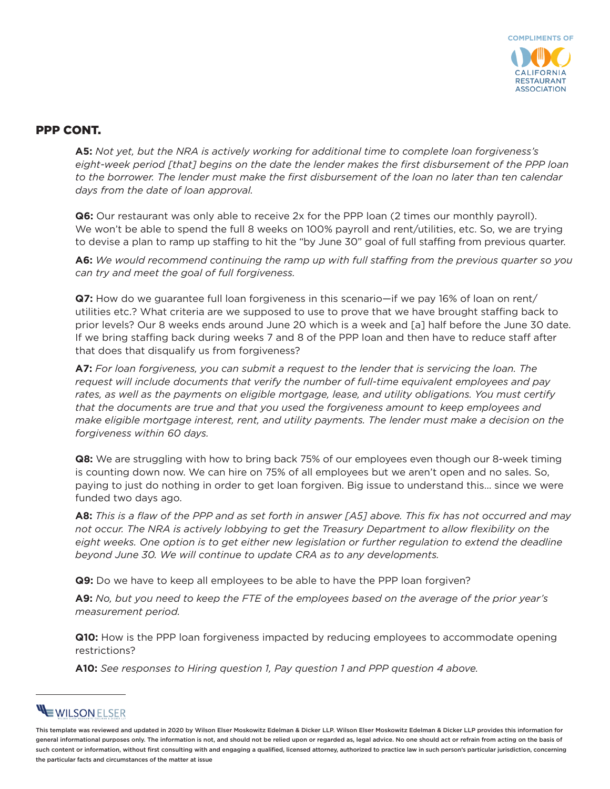

#### PPP CONT.

**A5:** *Not yet, but the NRA is actively working for additional time to complete loan forgiveness's eight-week period [that] begins on the date the lender makes the first disbursement of the PPP loan to the borrower. The lender must make the first disbursement of the loan no later than ten calendar days from the date of loan approval.*

**Q6:** Our restaurant was only able to receive 2x for the PPP loan (2 times our monthly payroll). We won't be able to spend the full 8 weeks on 100% payroll and rent/utilities, etc. So, we are trying to devise a plan to ramp up staffing to hit the "by June 30" goal of full staffing from previous quarter.

**A6:** *We would recommend continuing the ramp up with full staffing from the previous quarter so you can try and meet the goal of full forgiveness.* 

**Q7:** How do we guarantee full loan forgiveness in this scenario—if we pay 16% of loan on rent/ utilities etc.? What criteria are we supposed to use to prove that we have brought staffing back to prior levels? Our 8 weeks ends around June 20 which is a week and [a] half before the June 30 date. If we bring staffing back during weeks 7 and 8 of the PPP loan and then have to reduce staff after that does that disqualify us from forgiveness?

**A7:** *For loan forgiveness, you can submit a request to the lender that is servicing the loan. The request will include documents that verify the number of full-time equivalent employees and pay rates, as well as the payments on eligible mortgage, lease, and utility obligations. You must certify that the documents are true and that you used the forgiveness amount to keep employees and make eligible mortgage interest, rent, and utility payments. The lender must make a decision on the forgiveness within 60 days.*

**Q8:** We are struggling with how to bring back 75% of our employees even though our 8-week timing is counting down now. We can hire on 75% of all employees but we aren't open and no sales. So, paying to just do nothing in order to get loan forgiven. Big issue to understand this… since we were funded two days ago.

**A8:** *This is a flaw of the PPP and as set forth in answer [A5] above. This fix has not occurred and may not occur. The NRA is actively lobbying to get the Treasury Department to allow flexibility on the*  eight weeks. One option is to get either new legislation or further regulation to extend the deadline *beyond June 30. We will continue to update CRA as to any developments.* 

**Q9:** Do we have to keep all employees to be able to have the PPP loan forgiven?

**A9:** *No, but you need to keep the FTE of the employees based on the average of the prior year's measurement period.* 

**Q10:** How is the PPP loan forgiveness impacted by reducing employees to accommodate opening restrictions?

**A10:** *See responses to Hiring question 1, Pay question 1 and PPP question 4 above.* 

# **EWILSON ELSER**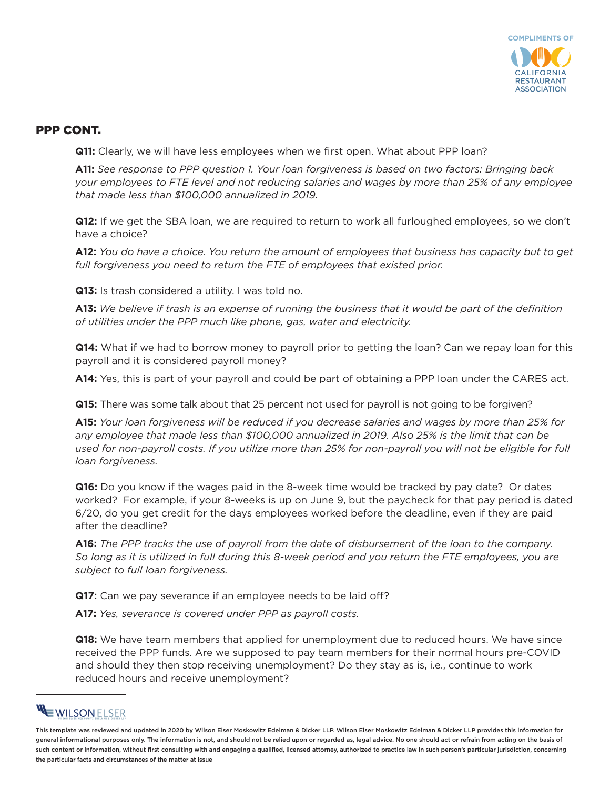

#### PPP CONT.

**Q11:** Clearly, we will have less employees when we first open. What about PPP loan?

**A11:** *See response to PPP question 1. Your loan forgiveness is based on two factors: Bringing back your employees to FTE level and not reducing salaries and wages by more than 25% of any employee that made less than \$100,000 annualized in 2019.* 

**Q12:** If we get the SBA loan, we are required to return to work all furloughed employees, so we don't have a choice?

**A12:** *You do have a choice. You return the amount of employees that business has capacity but to get full forgiveness you need to return the FTE of employees that existed prior.* 

**Q13:** Is trash considered a utility. I was told no.

**A13:** *We believe if trash is an expense of running the business that it would be part of the definition of utilities under the PPP much like phone, gas, water and electricity.* 

**Q14:** What if we had to borrow money to payroll prior to getting the loan? Can we repay loan for this payroll and it is considered payroll money?

**A14:** Yes, this is part of your payroll and could be part of obtaining a PPP loan under the CARES act.

**Q15:** There was some talk about that 25 percent not used for payroll is not going to be forgiven?

**A15:** *Your loan forgiveness will be reduced if you decrease salaries and wages by more than 25% for any employee that made less than \$100,000 annualized in 2019. Also 25% is the limit that can be used for non-payroll costs. If you utilize more than 25% for non-payroll you will not be eligible for full loan forgiveness.*

**Q16:** Do you know if the wages paid in the 8-week time would be tracked by pay date? Or dates worked? For example, if your 8-weeks is up on June 9, but the paycheck for that pay period is dated 6/20, do you get credit for the days employees worked before the deadline, even if they are paid after the deadline?

**A16:** *The PPP tracks the use of payroll from the date of disbursement of the loan to the company. So long as it is utilized in full during this 8-week period and you return the FTE employees, you are subject to full loan forgiveness.* 

**Q17:** Can we pay severance if an employee needs to be laid off?

**A17:** *Yes, severance is covered under PPP as payroll costs.* 

**Q18:** We have team members that applied for unemployment due to reduced hours. We have since received the PPP funds. Are we supposed to pay team members for their normal hours pre-COVID and should they then stop receiving unemployment? Do they stay as is, i.e., continue to work reduced hours and receive unemployment?

# **EWILSONELSER**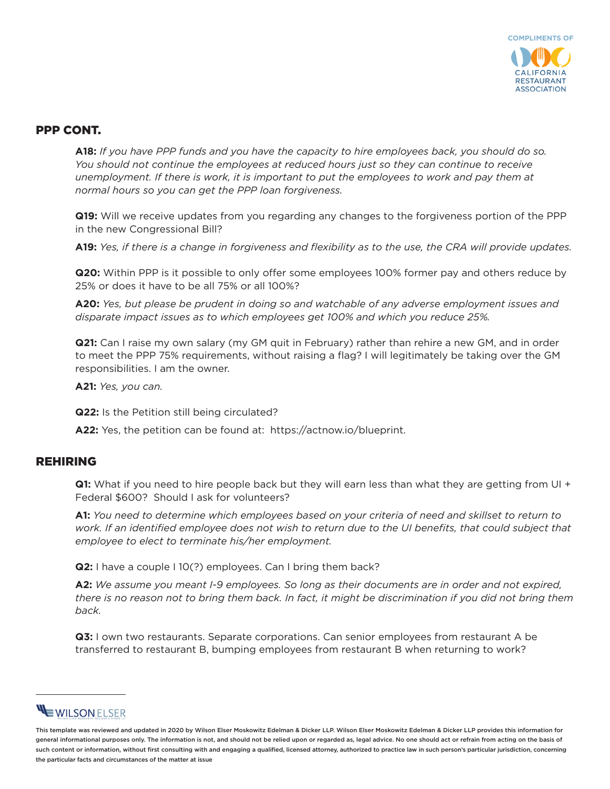

#### PPP CONT.

**A18:** *If you have PPP funds and you have the capacity to hire employees back, you should do so. You should not continue the employees at reduced hours just so they can continue to receive unemployment. If there is work, it is important to put the employees to work and pay them at normal hours so you can get the PPP loan forgiveness.* 

**Q19:** Will we receive updates from you regarding any changes to the forgiveness portion of the PPP in the new Congressional Bill?

**A19:** *Yes, if there is a change in forgiveness and flexibility as to the use, the CRA will provide updates.*

**Q20:** Within PPP is it possible to only offer some employees 100% former pay and others reduce by 25% or does it have to be all 75% or all 100%?

**A20:** *Yes, but please be prudent in doing so and watchable of any adverse employment issues and disparate impact issues as to which employees get 100% and which you reduce 25%.* 

**Q21:** Can I raise my own salary (my GM quit in February) rather than rehire a new GM, and in order to meet the PPP 75% requirements, without raising a flag? I will legitimately be taking over the GM responsibilities. I am the owner.

**A21:** *Yes, you can.* 

**Q22:** Is the Petition still being circulated?

**A22:** Yes, the petition can be found at: https://actnow.io/blueprint.

#### REHIRING

**Q1:** What if you need to hire people back but they will earn less than what they are getting from UI + Federal \$600? Should I ask for volunteers?

**A1:** *You need to determine which employees based on your criteria of need and skillset to return to work. If an identified employee does not wish to return due to the UI benefits, that could subject that employee to elect to terminate his/her employment.* 

**Q2:** I have a couple I 10(?) employees. Can I bring them back?

**A2:** *We assume you meant I-9 employees. So long as their documents are in order and not expired, there is no reason not to bring them back. In fact, it might be discrimination if you did not bring them back.* 

**Q3:** I own two restaurants. Separate corporations. Can senior employees from restaurant A be transferred to restaurant B, bumping employees from restaurant B when returning to work?

# WILSON ELSER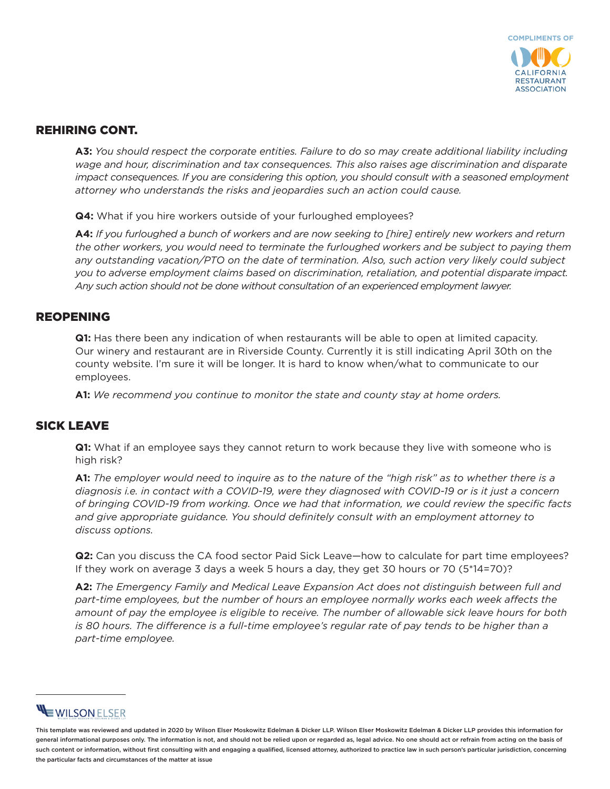

## REHIRING CONT.

**A3:** *You should respect the corporate entities. Failure to do so may create additional liability including wage and hour, discrimination and tax consequences. This also raises age discrimination and disparate impact consequences. If you are considering this option, you should consult with a seasoned employment attorney who understands the risks and jeopardies such an action could cause.* 

**Q4:** What if you hire workers outside of your furloughed employees?

**A4:** *If you furloughed a bunch of workers and are now seeking to [hire] entirely new workers and return the other workers, you would need to terminate the furloughed workers and be subject to paying them any outstanding vacation/PTO on the date of termination. Also, such action very likely could subject you to adverse employment claims based on discrimination, retaliation, and potential disparate impact. Any such action should not be done without consultation of an experienced employment lawyer.* 

#### REOPENING

**Q1:** Has there been any indication of when restaurants will be able to open at limited capacity. Our winery and restaurant are in Riverside County. Currently it is still indicating April 30th on the county website. I'm sure it will be longer. It is hard to know when/what to communicate to our employees.

**A1:** *We recommend you continue to monitor the state and county stay at home orders.* 

## SICK LEAVE

**Q1:** What if an employee says they cannot return to work because they live with someone who is high risk?

**A1:** *The employer would need to inquire as to the nature of the "high risk" as to whether there is a diagnosis i.e. in contact with a COVID-19, were they diagnosed with COVID-19 or is it just a concern of bringing COVID-19 from working. Once we had that information, we could review the specific facts and give appropriate guidance. You should definitely consult with an employment attorney to discuss options.* 

**Q2:** Can you discuss the CA food sector Paid Sick Leave—how to calculate for part time employees? If they work on average 3 days a week 5 hours a day, they get 30 hours or 70 (5\*14=70)?

**A2:** *The Emergency Family and Medical Leave Expansion Act does not distinguish between full and part-time employees, but the number of hours an employee normally works each week affects the amount of pay the employee is eligible to receive. The number of allowable sick leave hours for both is 80 hours. The difference is a full-time employee's regular rate of pay tends to be higher than a part-time employee.* 

# **EWILSONELSER**